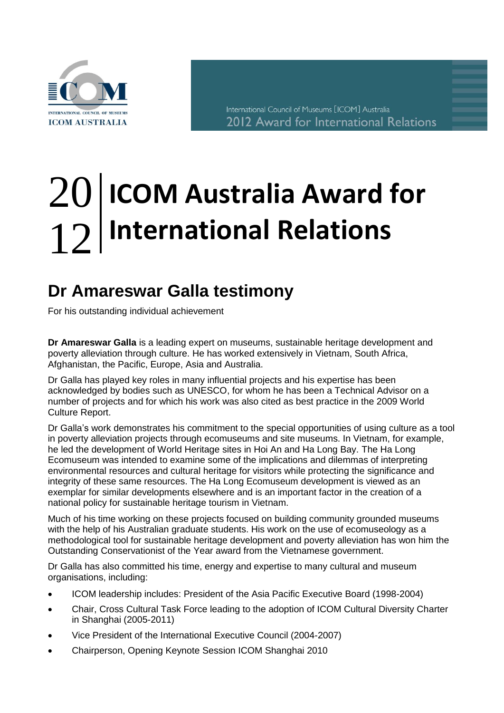

International Council of Museums [ICOM] Australia 2012 Award for International Relations

## **ICOM Australia Award for International Relations** 20 12

## **Dr Amareswar Galla testimony**  $\mathsf{Dr}$

For his outstanding individual achievement

**Dr Amareswar Galla** is a leading expert on museums, sustainable heritage development and poverty alleviation through culture. He has worked extensively in Vietnam, South Africa, Afghanistan, the Pacific, Europe, Asia and Australia.

Dr Galla has played key roles in many influential projects and his expertise has been acknowledged by bodies such as UNESCO, for whom he has been a Technical Advisor on a number of projects and for which his work was also cited as best practice in the 2009 World Culture Report.

Dr Galla's work demonstrates his commitment to the special opportunities of using culture as a tool in poverty alleviation projects through ecomuseums and site museums. In Vietnam, for example, he led the development of World Heritage sites in Hoi An and Ha Long Bay. The Ha Long Ecomuseum was intended to examine some of the implications and dilemmas of interpreting environmental resources and cultural heritage for visitors while protecting the significance and integrity of these same resources. The Ha Long Ecomuseum development is viewed as an exemplar for similar developments elsewhere and is an important factor in the creation of a national policy for sustainable heritage tourism in Vietnam.

Much of his time working on these projects focused on building community grounded museums with the help of his Australian graduate students. His work on the use of ecomuseology as a methodological tool for sustainable heritage development and poverty alleviation has won him the Outstanding Conservationist of the Year award from the Vietnamese government.

Dr Galla has also committed his time, energy and expertise to many cultural and museum organisations, including:

- ICOM leadership includes: President of the Asia Pacific Executive Board (1998-2004)
- Chair, Cross Cultural Task Force leading to the adoption of ICOM Cultural Diversity Charter in Shanghai (2005-2011)
- Vice President of the International Executive Council (2004-2007)
- Chairperson, Opening Keynote Session ICOM Shanghai 2010